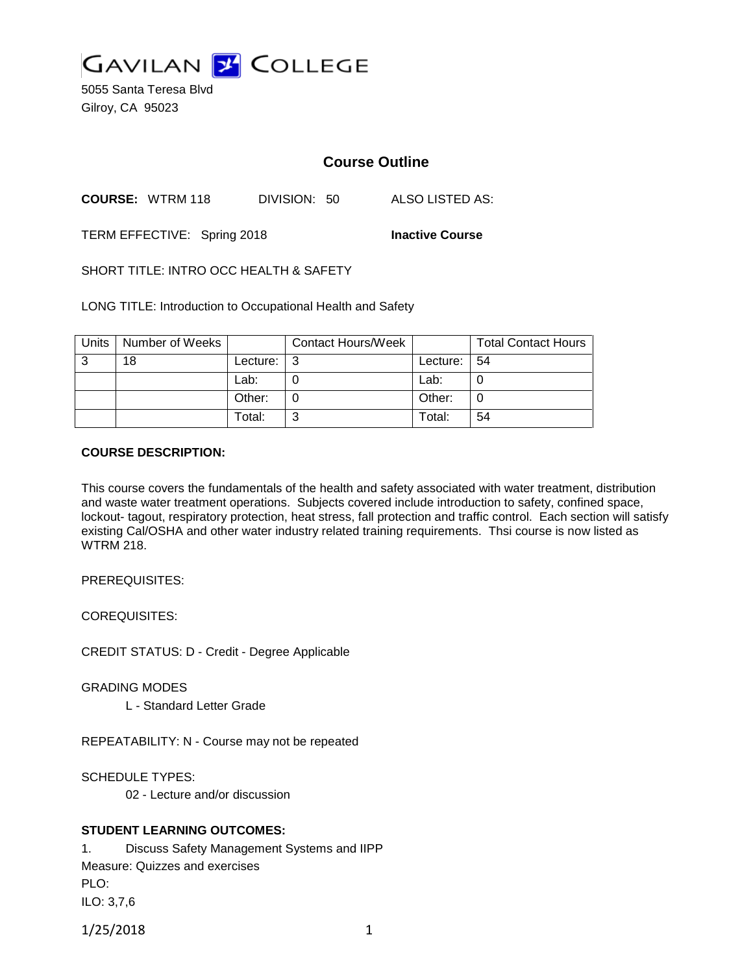

5055 Santa Teresa Blvd Gilroy, CA 95023

# **Course Outline**

**COURSE:** WTRM 118 DIVISION: 50 ALSO LISTED AS:

TERM EFFECTIVE: Spring 2018 **Inactive Course**

SHORT TITLE: INTRO OCC HEALTH & SAFETY

LONG TITLE: Introduction to Occupational Health and Safety

| Units | Number of Weeks |                            | <b>Contact Hours/Week</b> |                 | <b>Total Contact Hours</b> |
|-------|-----------------|----------------------------|---------------------------|-----------------|----------------------------|
| 3     | 18              | Lecture: $\vert 3 \rangle$ |                           | Lecture: $ 54 $ |                            |
|       |                 | Lab:                       |                           | Lab:            |                            |
|       |                 | Other:                     |                           | Other:          |                            |
|       |                 | Total:                     | ⌒                         | Total:          | 54                         |

### **COURSE DESCRIPTION:**

This course covers the fundamentals of the health and safety associated with water treatment, distribution and waste water treatment operations. Subjects covered include introduction to safety, confined space, lockout- tagout, respiratory protection, heat stress, fall protection and traffic control. Each section will satisfy existing Cal/OSHA and other water industry related training requirements. Thsi course is now listed as WTRM 218.

PREREQUISITES:

COREQUISITES:

CREDIT STATUS: D - Credit - Degree Applicable

GRADING MODES

L - Standard Letter Grade

REPEATABILITY: N - Course may not be repeated

SCHEDULE TYPES:

02 - Lecture and/or discussion

## **STUDENT LEARNING OUTCOMES:**

1. Discuss Safety Management Systems and IIPP Measure: Quizzes and exercises PLO: ILO: 3,7,6

1/25/2018 1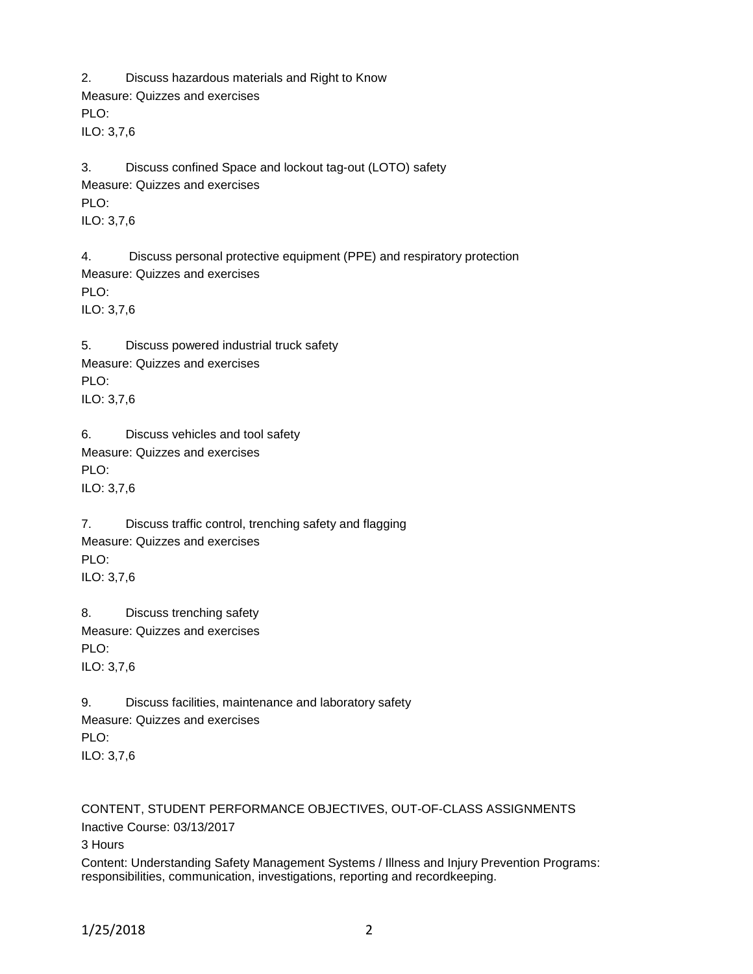2. Discuss hazardous materials and Right to Know Measure: Quizzes and exercises PLO: ILO: 3,7,6

3. Discuss confined Space and lockout tag-out (LOTO) safety Measure: Quizzes and exercises PLO: ILO: 3,7,6

4. Discuss personal protective equipment (PPE) and respiratory protection Measure: Quizzes and exercises PLO: ILO: 3,7,6

5. Discuss powered industrial truck safety Measure: Quizzes and exercises PLO: ILO: 3,7,6

6. Discuss vehicles and tool safety Measure: Quizzes and exercises PLO: ILO: 3,7,6

7. Discuss traffic control, trenching safety and flagging Measure: Quizzes and exercises PLO<sup>.</sup> ILO: 3,7,6

8. Discuss trenching safety Measure: Quizzes and exercises PLO: ILO: 3,7,6

9. Discuss facilities, maintenance and laboratory safety Measure: Quizzes and exercises PLO: ILO: 3,7,6

CONTENT, STUDENT PERFORMANCE OBJECTIVES, OUT-OF-CLASS ASSIGNMENTS Inactive Course: 03/13/2017 3 Hours Content: Understanding Safety Management Systems / Illness and Injury Prevention Programs: responsibilities, communication, investigations, reporting and recordkeeping.

1/25/2018 2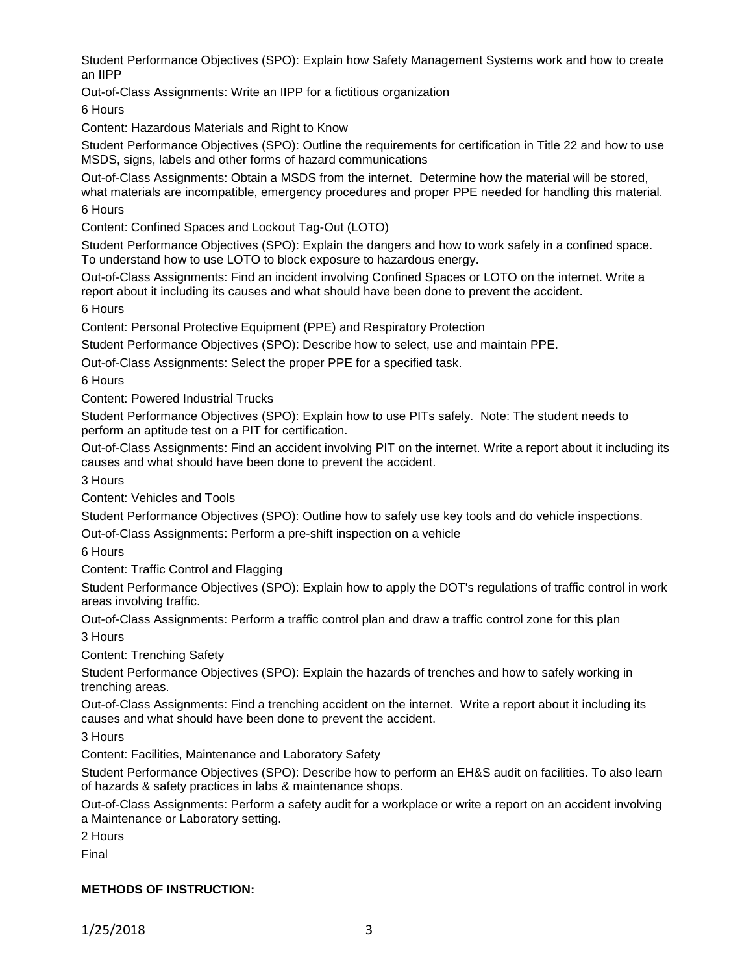Student Performance Objectives (SPO): Explain how Safety Management Systems work and how to create an IIPP

Out-of-Class Assignments: Write an IIPP for a fictitious organization

6 Hours

Content: Hazardous Materials and Right to Know

Student Performance Objectives (SPO): Outline the requirements for certification in Title 22 and how to use MSDS, signs, labels and other forms of hazard communications

Out-of-Class Assignments: Obtain a MSDS from the internet. Determine how the material will be stored, what materials are incompatible, emergency procedures and proper PPE needed for handling this material.

6 Hours

Content: Confined Spaces and Lockout Tag-Out (LOTO)

Student Performance Objectives (SPO): Explain the dangers and how to work safely in a confined space. To understand how to use LOTO to block exposure to hazardous energy.

Out-of-Class Assignments: Find an incident involving Confined Spaces or LOTO on the internet. Write a report about it including its causes and what should have been done to prevent the accident. 6 Hours

Content: Personal Protective Equipment (PPE) and Respiratory Protection

Student Performance Objectives (SPO): Describe how to select, use and maintain PPE.

Out-of-Class Assignments: Select the proper PPE for a specified task.

6 Hours

Content: Powered Industrial Trucks

Student Performance Objectives (SPO): Explain how to use PITs safely. Note: The student needs to perform an aptitude test on a PIT for certification.

Out-of-Class Assignments: Find an accident involving PIT on the internet. Write a report about it including its causes and what should have been done to prevent the accident.

3 Hours

Content: Vehicles and Tools

Student Performance Objectives (SPO): Outline how to safely use key tools and do vehicle inspections.

Out-of-Class Assignments: Perform a pre-shift inspection on a vehicle

6 Hours

Content: Traffic Control and Flagging

Student Performance Objectives (SPO): Explain how to apply the DOT's regulations of traffic control in work areas involving traffic.

Out-of-Class Assignments: Perform a traffic control plan and draw a traffic control zone for this plan 3 Hours

Content: Trenching Safety

Student Performance Objectives (SPO): Explain the hazards of trenches and how to safely working in trenching areas.

Out-of-Class Assignments: Find a trenching accident on the internet. Write a report about it including its causes and what should have been done to prevent the accident.

3 Hours

Content: Facilities, Maintenance and Laboratory Safety

Student Performance Objectives (SPO): Describe how to perform an EH&S audit on facilities. To also learn of hazards & safety practices in labs & maintenance shops.

Out-of-Class Assignments: Perform a safety audit for a workplace or write a report on an accident involving a Maintenance or Laboratory setting.

2 Hours

Final

# **METHODS OF INSTRUCTION:**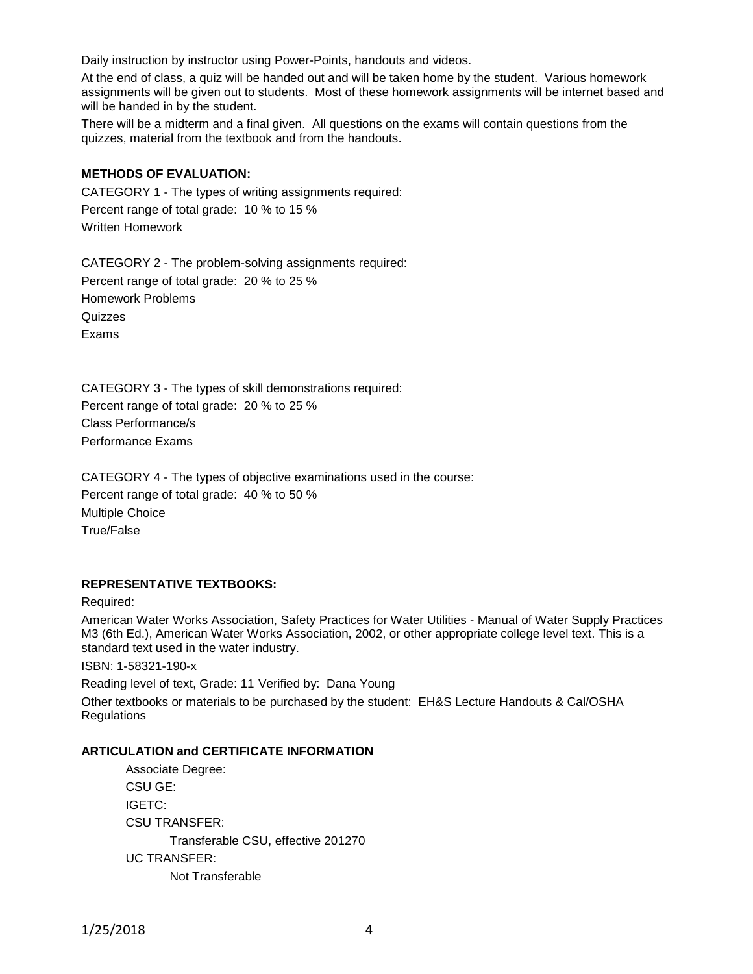Daily instruction by instructor using Power-Points, handouts and videos.

At the end of class, a quiz will be handed out and will be taken home by the student. Various homework assignments will be given out to students. Most of these homework assignments will be internet based and will be handed in by the student.

There will be a midterm and a final given. All questions on the exams will contain questions from the quizzes, material from the textbook and from the handouts.

### **METHODS OF EVALUATION:**

CATEGORY 1 - The types of writing assignments required: Percent range of total grade: 10 % to 15 % Written Homework

CATEGORY 2 - The problem-solving assignments required: Percent range of total grade: 20 % to 25 % Homework Problems Quizzes Exams

CATEGORY 3 - The types of skill demonstrations required: Percent range of total grade: 20 % to 25 % Class Performance/s Performance Exams

CATEGORY 4 - The types of objective examinations used in the course: Percent range of total grade: 40 % to 50 % Multiple Choice True/False

## **REPRESENTATIVE TEXTBOOKS:**

Required:

American Water Works Association, Safety Practices for Water Utilities - Manual of Water Supply Practices M3 (6th Ed.), American Water Works Association, 2002, or other appropriate college level text. This is a standard text used in the water industry.

ISBN: 1-58321-190-x

Reading level of text, Grade: 11 Verified by: Dana Young Other textbooks or materials to be purchased by the student: EH&S Lecture Handouts & Cal/OSHA **Regulations** 

### **ARTICULATION and CERTIFICATE INFORMATION**

Associate Degree: CSU GE: IGETC: CSU TRANSFER: Transferable CSU, effective 201270 UC TRANSFER: Not Transferable